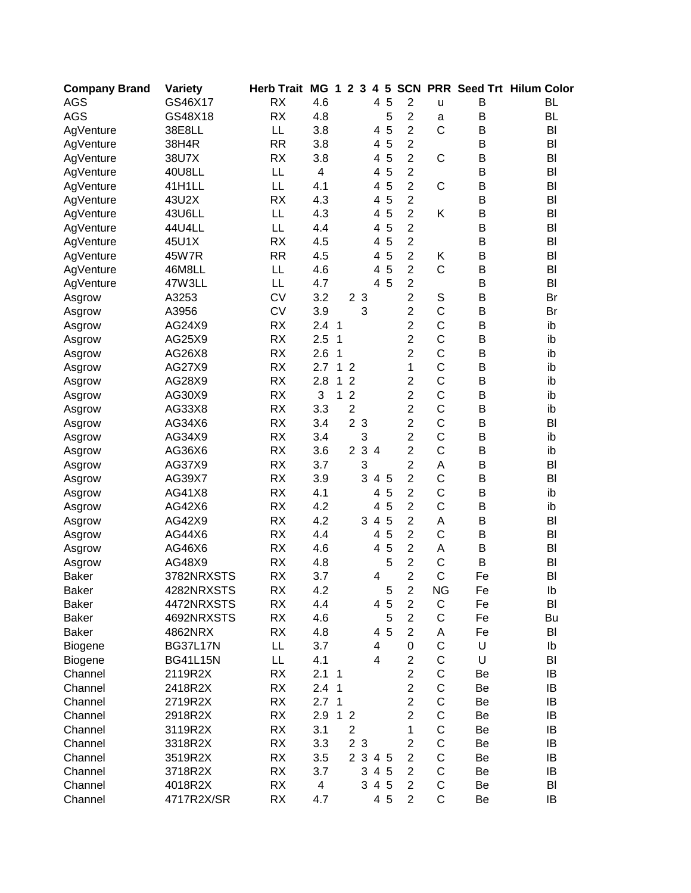| <b>Company Brand</b> | <b>Variety</b>  | <b>Herb Trait</b> | <b>MG</b>                | $\mathbf 1$ | $\overline{2}$ | $\mathbf{3}$   | 4                        | $5\phantom{1}$ | <b>SCN</b>     |                |    | <b>PRR Seed Trt Hilum Color</b> |
|----------------------|-----------------|-------------------|--------------------------|-------------|----------------|----------------|--------------------------|----------------|----------------|----------------|----|---------------------------------|
| <b>AGS</b>           | GS46X17         | <b>RX</b>         | 4.6                      |             |                |                | 4                        | 5              | $\mathbf 2$    | u              | B  | <b>BL</b>                       |
| <b>AGS</b>           | GS48X18         | <b>RX</b>         | 4.8                      |             |                |                |                          | 5              | $\overline{c}$ | a              | B  | <b>BL</b>                       |
| AgVenture            | 38E8LL          | LL                | 3.8                      |             |                |                | 4                        | 5              | $\overline{2}$ | $\mathsf{C}$   | B  | BI                              |
| AgVenture            | 38H4R           | <b>RR</b>         | 3.8                      |             |                |                | 4                        | 5              | $\overline{2}$ |                | В  | BI                              |
| AgVenture            | 38U7X           | <b>RX</b>         | 3.8                      |             |                |                | 4                        | 5              | $\overline{2}$ | C              | B  | BI                              |
| AgVenture            | 40U8LL          | LL                | $\overline{4}$           |             |                |                | 4                        | 5              | $\overline{2}$ |                | B  | BI                              |
| AgVenture            | 41H1LL          | LL                | 4.1                      |             |                |                | 4                        | 5              | $\overline{2}$ | C              | B  | BI                              |
| AgVenture            | 43U2X           | <b>RX</b>         | 4.3                      |             |                |                | 4                        | 5              | $\overline{2}$ |                | B  | BI                              |
| AgVenture            | 43U6LL          | LL                | 4.3                      |             |                |                | 4                        | 5              | $\overline{2}$ | Κ              | B  | BI                              |
| AgVenture            | 44U4LL          | LL                | 4.4                      |             |                |                | 4                        | 5              | $\overline{2}$ |                | B  | BI                              |
| AgVenture            | 45U1X           | <b>RX</b>         | 4.5                      |             |                |                | 4                        | 5              | $\overline{2}$ |                | B  | BI                              |
| AgVenture            | 45W7R           | <b>RR</b>         | 4.5                      |             |                |                | 4                        | 5              | $\overline{2}$ | Κ              | B  | BI                              |
| AgVenture            | 46M8LL          | LL                | 4.6                      |             |                |                | 4                        | 5              | $\overline{2}$ | $\mathsf C$    | B  | BI                              |
| AgVenture            | 47W3LL          | LL                | 4.7                      |             |                |                | 4                        | 5              | $\overline{2}$ |                | B  | BI                              |
| Asgrow               | A3253           | <b>CV</b>         | 3.2                      |             |                | 2 <sub>3</sub> |                          |                | $\overline{c}$ | $\mathbb S$    | B  | Br                              |
| Asgrow               | A3956           | <b>CV</b>         | 3.9                      |             |                | 3              |                          |                | $\overline{c}$ | $\mathsf C$    | B  | Br                              |
| Asgrow               | AG24X9          | <b>RX</b>         | 2.4                      | 1           |                |                |                          |                | $\overline{c}$ | $\mathsf C$    | B  | ib                              |
| Asgrow               | AG25X9          | <b>RX</b>         | 2.5                      | 1           |                |                |                          |                | $\overline{2}$ | $\mathsf{C}$   | B  | ib                              |
| Asgrow               | AG26X8          | <b>RX</b>         | 2.6                      | 1           |                |                |                          |                | $\overline{2}$ | $\mathsf{C}$   | B  | ib                              |
| Asgrow               | AG27X9          | <b>RX</b>         | 2.7                      | 1           | $\overline{2}$ |                |                          |                | 1              | C              | B  | ib                              |
| Asgrow               | AG28X9          | <b>RX</b>         | 2.8                      | 1           | $\overline{2}$ |                |                          |                | $\overline{2}$ | C              | B  | ib                              |
| Asgrow               | AG30X9          | <b>RX</b>         | 3                        | 1           | $\overline{2}$ |                |                          |                | $\overline{2}$ | $\overline{C}$ | B  | ib                              |
| Asgrow               | AG33X8          | <b>RX</b>         | 3.3                      |             | $\overline{c}$ |                |                          |                | $\overline{2}$ | C              | B  | ib                              |
| Asgrow               | AG34X6          | <b>RX</b>         | 3.4                      |             |                | 2 <sub>3</sub> |                          |                | $\overline{2}$ | C              | B  | BI                              |
| Asgrow               | AG34X9          | <b>RX</b>         | 3.4                      |             |                | 3              |                          |                | $\overline{c}$ | C              | B  | ib                              |
| Asgrow               | AG36X6          | <b>RX</b>         | 3.6                      |             | $\overline{2}$ | $\mathbf{3}$   | $\overline{4}$           |                | $\overline{2}$ | $\mathsf{C}$   | B  | ib                              |
| Asgrow               | AG37X9          | <b>RX</b>         | 3.7                      |             |                | 3              |                          |                | $\overline{2}$ | A              | B  | BI                              |
| Asgrow               | AG39X7          | <b>RX</b>         | 3.9                      |             |                | 3              | $\overline{\mathcal{A}}$ | 5              | $\overline{2}$ | C              | B  | BI                              |
| Asgrow               | AG41X8          | <b>RX</b>         | 4.1                      |             |                |                | 4                        | 5              | $\overline{2}$ | C              | B  | ib                              |
| Asgrow               | AG42X6          | <b>RX</b>         | 4.2                      |             |                |                | 4                        | 5              | $\overline{2}$ | $\mathsf{C}$   | B  | ib                              |
| Asgrow               | AG42X9          | <b>RX</b>         | 4.2                      |             |                | 3              | $\overline{4}$           | 5              | $\overline{2}$ | A              | B  | BI                              |
| Asgrow               | AG44X6          | <b>RX</b>         | 4.4                      |             |                |                | 4                        | 5              | $\overline{2}$ | $\mathsf{C}$   | B  | BI                              |
| Asgrow               | AG46X6          | <b>RX</b>         | 4.6                      |             |                |                | 4                        | 5              | $\overline{2}$ | A              | B  | BI                              |
| Asgrow               | AG48X9          | <b>RX</b>         | 4.8                      |             |                |                |                          | 5              | $\overline{2}$ | C              | B  | BI                              |
| <b>Baker</b>         | 3782NRXSTS      | <b>RX</b>         | 3.7                      |             |                |                | 4                        |                | $\overline{2}$ | $\overline{C}$ | Fe | BI                              |
| Baker                | 4282NRXSTS      | RX                | 4.2                      |             |                |                |                          | 5              | 2              | NG             | Fe | lb                              |
| <b>Baker</b>         | 4472NRXSTS      | <b>RX</b>         | 4.4                      |             |                |                | 4                        | 5              | $\overline{2}$ | C              | Fe | BI                              |
| <b>Baker</b>         | 4692NRXSTS      | <b>RX</b>         | 4.6                      |             |                |                |                          | 5              | $\overline{2}$ | C              | Fe | Bu                              |
| <b>Baker</b>         | 4862NRX         | <b>RX</b>         | 4.8                      |             |                |                |                          | 4 5            | $\overline{2}$ | Α              | Fe | BI                              |
| Biogene              | <b>BG37L17N</b> | LL                | 3.7                      |             |                |                | 4                        |                | 0              | C              | U  | Ib                              |
| Biogene              | <b>BG41L15N</b> | LL                | 4.1                      |             |                |                | $\overline{4}$           |                | $\overline{2}$ | C              | U  | BI                              |
| Channel              | 2119R2X         | <b>RX</b>         | 2.1                      | $\mathbf 1$ |                |                |                          |                | $\overline{2}$ | C              | Be | IB                              |
| Channel              | 2418R2X         | <b>RX</b>         | 2.4 <sub>1</sub>         |             |                |                |                          |                | $\overline{2}$ | C              | Be | IB                              |
| Channel              | 2719R2X         | <b>RX</b>         | 2.7 <sub>1</sub>         |             |                |                |                          |                | $\overline{2}$ | С              | Be | IB                              |
| Channel              | 2918R2X         | <b>RX</b>         | 2.9                      |             | 1 <sub>2</sub> |                |                          |                | $\overline{2}$ | С              | Be | IB                              |
| Channel              | 3119R2X         | <b>RX</b>         | 3.1                      |             | $\overline{2}$ |                |                          |                | 1              | С              | Be | IB                              |
| Channel              | 3318R2X         | <b>RX</b>         | 3.3                      |             |                | 2 3            |                          |                | $\overline{2}$ | C              | Be | IB                              |
| Channel              | 3519R2X         | <b>RX</b>         | 3.5                      |             |                | 2 3 4 5        |                          |                | $\overline{2}$ | $\mathsf C$    | Be | IB                              |
| Channel              | 3718R2X         | <b>RX</b>         | 3.7                      |             |                | 3              |                          | 4 5            | $\overline{2}$ | $\mathsf C$    | Be | IB                              |
| Channel              | 4018R2X         | <b>RX</b>         | $\overline{\mathcal{A}}$ |             |                | 3              |                          | 4 5            | $\overline{2}$ | C              | Be | BI                              |
| Channel              | 4717R2X/SR      | RX                | 4.7                      |             |                |                |                          | 4 5            | $\overline{2}$ | $\mathsf{C}$   | Be | IB                              |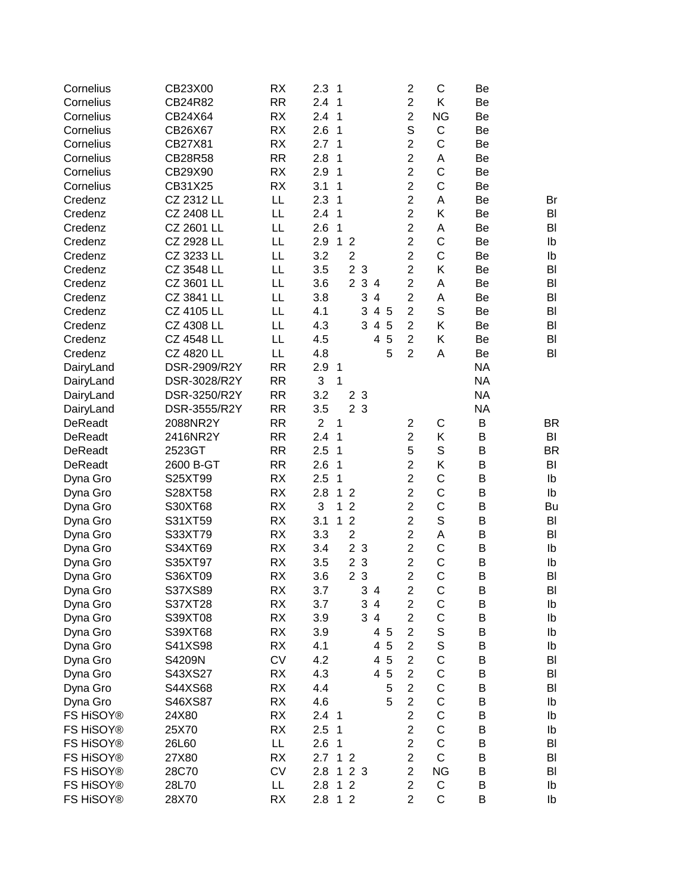| Cornelius      | CB23X00           | <b>RX</b> | 2.3              | 1            |                |                |                          |                | $\overline{c}$          | C              | Be        |           |
|----------------|-------------------|-----------|------------------|--------------|----------------|----------------|--------------------------|----------------|-------------------------|----------------|-----------|-----------|
| Cornelius      | CB24R82           | <b>RR</b> | 2.4              | 1            |                |                |                          |                | $\overline{2}$          | Κ              | Be        |           |
| Cornelius      | CB24X64           | <b>RX</b> | 2.4              | 1            |                |                |                          |                | $\overline{2}$          | <b>NG</b>      | Be        |           |
| Cornelius      | CB26X67           | <b>RX</b> | 2.6              | 1            |                |                |                          |                | S                       | $\mathsf C$    | Be        |           |
| Cornelius      | CB27X81           | <b>RX</b> | 2.7              | 1            |                |                |                          |                | $\overline{2}$          | C              | Be        |           |
| Cornelius      | <b>CB28R58</b>    | <b>RR</b> | 2.8              | 1            |                |                |                          |                | $\overline{2}$          | Α              | Be        |           |
| Cornelius      | CB29X90           | <b>RX</b> | 2.9              | 1            |                |                |                          |                | $\overline{2}$          | C              | Be        |           |
| Cornelius      | CB31X25           | <b>RX</b> | 3.1              | 1            |                |                |                          |                | $\overline{c}$          | C              | Be        |           |
| Credenz        | CZ 2312 LL        | LL        | 2.3              | 1            |                |                |                          |                | $\overline{2}$          | Α              | Be        | Br        |
| Credenz        | CZ 2408 LL        | LL        | 2.4              | $\mathbf{1}$ |                |                |                          |                | $\overline{2}$          | Κ              | Be        | BI        |
| Credenz        | CZ 2601 LL        | LL        | 2.6              | 1            |                |                |                          |                | $\overline{2}$          | A              | Be        | BI        |
| Credenz        | CZ 2928 LL        | LL        | 2.9              | $\mathbf{1}$ | $\overline{2}$ |                |                          |                | $\overline{2}$          | C              | Be        | Ib        |
| Credenz        | CZ 3233 LL        | LL        | 3.2              |              | $\overline{2}$ |                |                          |                | $\overline{2}$          | $\mathsf C$    | Be        | Ib        |
| Credenz        | CZ 3548 LL        | LL        | 3.5              |              | $\overline{2}$ | 3              |                          |                | $\overline{2}$          | Κ              | Be        | BI        |
| Credenz        | CZ 3601 LL        | LL        | 3.6              |              |                | 2 3 4          |                          |                | $\overline{2}$          | A              | Be        | BI        |
| Credenz        | CZ 3841 LL        | LL        | 3.8              |              |                | 3              | $\overline{4}$           |                | $\overline{c}$          | A              | Be        | BI        |
| Credenz        | CZ 4105 LL        | LL        | 4.1              |              |                | 3              |                          | 4 5            | $\overline{2}$          | S              | Be        | BI        |
| Credenz        | CZ 4308 LL        | LL        | 4.3              |              |                | 3              | $\overline{4}$           | $\overline{5}$ | $\overline{2}$          | Κ              | Be        | BI        |
| Credenz        | <b>CZ 4548 LL</b> | LL        | 4.5              |              |                |                | 4                        | 5              | $\overline{2}$          | Κ              | Be        | BI        |
| Credenz        | CZ 4820 LL        | LL        | 4.8              |              |                |                |                          | 5              | $\overline{2}$          | A              | Be        | BI        |
| DairyLand      | DSR-2909/R2Y      | <b>RR</b> | 2.9              | 1            |                |                |                          |                |                         |                | <b>NA</b> |           |
| DairyLand      | DSR-3028/R2Y      | <b>RR</b> | 3                | 1            |                |                |                          |                |                         |                | <b>NA</b> |           |
| DairyLand      | DSR-3250/R2Y      | <b>RR</b> | 3.2              |              |                | 2 <sub>3</sub> |                          |                |                         |                | <b>NA</b> |           |
| DairyLand      | DSR-3555/R2Y      | <b>RR</b> | 3.5              |              |                | 2 <sub>3</sub> |                          |                |                         |                | <b>NA</b> |           |
| DeReadt        | 2088NR2Y          | <b>RR</b> | $\overline{2}$   | 1            |                |                |                          |                | $\overline{2}$          | C              | B         | <b>BR</b> |
| <b>DeReadt</b> | 2416NR2Y          | <b>RR</b> | 2.4              | 1            |                |                |                          |                | $\overline{c}$          | Κ              | B         | BI        |
| <b>DeReadt</b> | 2523GT            | <b>RR</b> | 2.5              | $\mathbf{1}$ |                |                |                          |                | 5                       | $\mathsf S$    | B         | <b>BR</b> |
| DeReadt        | 2600 B-GT         | <b>RR</b> | 2.6              | $\mathbf{1}$ |                |                |                          |                | $\overline{2}$          | Κ              | B         | BI        |
| Dyna Gro       | S25XT99           | RX        | 2.5              | 1            |                |                |                          |                | $\overline{2}$          | $\mathsf C$    | B         | Ib        |
| Dyna Gro       | S28XT58           | RX        | 2.8              | $\mathbf{1}$ | $\overline{2}$ |                |                          |                | $\overline{2}$          | C              | B         | Ib        |
| Dyna Gro       | S30XT68           | RX        | 3                | 1            | $\overline{2}$ |                |                          |                | $\overline{2}$          | $\mathsf C$    | B         | Bu        |
| Dyna Gro       | S31XT59           | <b>RX</b> | 3.1              | 1            | $\overline{2}$ |                |                          |                | $\overline{2}$          | $\mathbb S$    | B         | BI        |
| Dyna Gro       | S33XT79           | <b>RX</b> | 3.3              |              | $\overline{2}$ |                |                          |                | $\overline{2}$          | A              | B         | BI        |
| Dyna Gro       | S34XT69           | <b>RX</b> | 3.4              |              |                | 2 <sub>3</sub> |                          |                | $\overline{2}$          | C              | B         | Ib        |
| Dyna Gro       | S35XT97           | <b>RX</b> | 3.5              |              | $\overline{2}$ | 3              |                          |                | $\overline{c}$          | C              | B         | Ib        |
| Dyna Gro       | S36XT09           | <b>RX</b> | 3.6              |              |                | 2 <sub>3</sub> |                          |                | $\overline{2}$          | $\overline{C}$ | B         | BI        |
| Dyna Gro       | S37XS89           | RX        | 3.7              |              |                | 3              | 4                        |                | 2                       | C              | B         | BI        |
| Dyna Gro       | S37XT28           | <b>RX</b> | 3.7              |              |                | 3              | $\overline{\mathbf{4}}$  |                | $\overline{\mathbf{c}}$ | $\mathsf C$    | B         | Ib        |
| Dyna Gro       | S39XT08           | <b>RX</b> | 3.9              |              |                | 3              | $\overline{\mathcal{A}}$ |                | $\overline{c}$          | $\mathsf C$    | B         | Ib        |
| Dyna Gro       | S39XT68           | <b>RX</b> | 3.9              |              |                |                |                          | 4 5            | $\overline{2}$          | $\mathbb S$    | B         | Ib        |
| Dyna Gro       | S41XS98           | RX        | 4.1              |              |                |                | 4                        | 5              | $\overline{2}$          | $\mathbb S$    | B         | Ib        |
| Dyna Gro       | S4209N            | <b>CV</b> | 4.2              |              |                |                | $\overline{4}$           | 5              | $\overline{2}$          | C              | B         | BI        |
| Dyna Gro       | S43XS27           | RX        | 4.3              |              |                |                | 4                        | 5              | $\overline{2}$          | C              | B         | BI        |
| Dyna Gro       | S44XS68           | RX        | 4.4              |              |                |                |                          | 5              | $\overline{2}$          | $\mathsf C$    | B         | BI        |
| Dyna Gro       | S46XS87           | RX        | 4.6              |              |                |                |                          | 5              | $\overline{2}$          | C              | В         | Ib        |
| FS HiSOY®      | 24X80             | RX        | 2.4 <sub>1</sub> |              |                |                |                          |                | $\overline{2}$          | $\mathsf C$    | B         | lb        |
| FS HiSOY®      | 25X70             | RX        | 2.5              | $\mathbf 1$  |                |                |                          |                | $\overline{2}$          | C              | B         | lb        |
| FS HiSOY®      | 26L60             | LL        | 2.6              | 1            |                |                |                          |                | $\overline{2}$          | $\mathsf C$    | B         | BI        |
| FS HiSOY®      | 27X80             | <b>RX</b> | 2.7              | $\mathbf{1}$ | $\overline{2}$ |                |                          |                | $\overline{2}$          | $\mathsf C$    | В         | BI        |
| FS HiSOY®      | 28C70             | CV        | 2.8              | 1            |                | 2 <sub>3</sub> |                          |                | $\overline{2}$          | <b>NG</b>      | В         | BI        |
| FS HiSOY®      | 28L70             | LL        | 2.8              | 1            | $\overline{2}$ |                |                          |                | $\overline{c}$          | C              | B         | Ib        |
| FS HiSOY®      |                   | RX        | 2.8              |              | 1 <sub>2</sub> |                |                          |                | $\overline{2}$          | $\mathsf C$    | B         | Ib        |
|                | 28X70             |           |                  |              |                |                |                          |                |                         |                |           |           |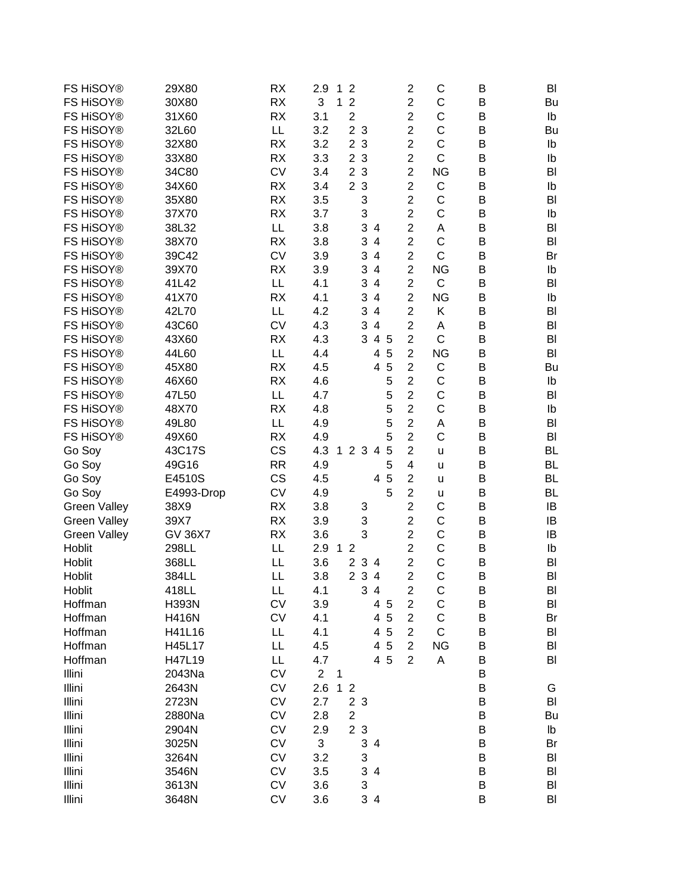| FS HiSOY®           | 29X80          | <b>RX</b> | 2.9<br>1<br>$\overline{2}$<br>$\overline{2}$<br>С<br>B<br>BI                             |  |
|---------------------|----------------|-----------|------------------------------------------------------------------------------------------|--|
| FS HiSOY®           | 30X80          | <b>RX</b> | $\overline{c}$<br>3<br>$\overline{2}$<br>C<br>1<br>B<br>Bu                               |  |
| FS HiSOY®           | 31X60          | <b>RX</b> | $\overline{c}$<br>C<br>$\overline{2}$<br>3.1<br>B<br>Ib                                  |  |
| FS HiSOY®           | 32L60          | LL        | $\overline{2}$<br>C<br>3.2<br>2 <sub>3</sub><br>B<br>Bu                                  |  |
| FS HiSOY®           | 32X80          | <b>RX</b> | C<br>3<br>$\overline{c}$<br>3.2<br>$\overline{2}$<br>B<br>Ib                             |  |
| FS HiSOY®           | 33X80          | <b>RX</b> | $\overline{2}$<br>$\mathsf{C}$<br>2 <sub>3</sub><br>3.3<br>B                             |  |
|                     |                |           | Ib                                                                                       |  |
| FS HiSOY®           | 34C80          | <b>CV</b> | $\overline{2}$<br>2 <sub>3</sub><br><b>NG</b><br>3.4<br>B<br>BI                          |  |
| FS HiSOY®           | 34X60          | <b>RX</b> | $\overline{2}$<br>$\mathsf C$<br>2 <sub>3</sub><br>3.4<br>B<br>Ib                        |  |
| FS HiSOY®           | 35X80          | <b>RX</b> | 3<br>$\overline{2}$<br>C<br>3.5<br>B<br>BI                                               |  |
| FS HiSOY®           | 37X70          | <b>RX</b> | $\overline{2}$<br>3<br>C<br>B<br>3.7<br>Ib                                               |  |
| FS HiSOY®           | 38L32          | LL        | $\overline{2}$<br>3<br>3.8<br>Α<br>B<br>4<br>BI                                          |  |
| FS HiSOY®           | 38X70          | <b>RX</b> | $\mathsf C$<br>$\overline{2}$<br>3<br>3.8<br>$\overline{\mathcal{A}}$<br>B<br>BI         |  |
| FS HiSOY®           | 39C42          | <b>CV</b> | $\mathsf{C}$<br>$\overline{2}$<br>3<br>$\overline{\mathbf{4}}$<br>3.9<br>B<br>Br         |  |
| FS HiSOY®           | 39X70          | <b>RX</b> | $\overline{2}$<br>3<br>$\overline{\mathbf{4}}$<br><b>NG</b><br>3.9<br>B<br>Ib            |  |
| FS HiSOY®           | 41L42          | LL        | C<br>3<br>$\overline{\mathbf{4}}$<br>$\overline{2}$<br>4.1<br>B<br>BI                    |  |
| FS HiSOY®           | 41X70          | <b>RX</b> | 3<br>$\overline{\mathbf{4}}$<br>$\overline{2}$<br><b>NG</b><br>B<br>4.1<br>Ib            |  |
| FS HiSOY®           | 42L70          | LL        | $\overline{2}$<br>3<br>Κ<br>4.2<br>$\overline{4}$<br>B<br>BI                             |  |
| FS HiSOY®           | 43C60          | <b>CV</b> | $\overline{2}$<br>4.3<br>3<br>$\overline{4}$<br>A<br>B<br>BI                             |  |
| FS HiSOY®           | 43X60          | <b>RX</b> | $\overline{2}$<br>C<br>4.3<br>3<br>4 5<br>B<br>BI                                        |  |
| FS HiSOY®           | 44L60          | LL        | 5<br>$\overline{2}$<br><b>NG</b><br>4.4<br>B<br>BI<br>4                                  |  |
| FS HiSOY®           | 45X80          | <b>RX</b> | 4 5<br>$\overline{2}$<br>C<br>B<br>4.5<br>Bu                                             |  |
| FS HiSOY®           | 46X60          | <b>RX</b> | $\overline{2}$<br>C<br>4.6<br>5<br>B<br>Ib                                               |  |
| FS HiSOY®           | 47L50          | LL        | $\overline{2}$<br>$\mathsf C$<br>4.7<br>5<br>B<br>BI                                     |  |
| FS HiSOY®           |                |           | $\overline{2}$<br>C<br>5                                                                 |  |
|                     | 48X70          | <b>RX</b> | 4.8<br>B<br>Ib                                                                           |  |
| FS HiSOY®           | 49L80          | LL        | $\overline{2}$<br>5<br>4.9<br>A<br>B<br>BI                                               |  |
| FS HiSOY®           | 49X60          | <b>RX</b> | $\overline{2}$<br>C<br>5<br>4.9<br>B<br>BI                                               |  |
| Go Soy              | 43C17S         | CS        | $\overline{2}$<br>4.3<br>$\mathbf{1}$<br>2 <sub>3</sub><br>5<br>B<br><b>BL</b><br>4<br>u |  |
| Go Soy              | 49G16          | <b>RR</b> | 5<br>$\overline{\mathbf{4}}$<br>4.9<br>B<br><b>BL</b><br>u                               |  |
| Go Soy              | E4510S         | CS        | 4 5<br>$\overline{2}$<br>4.5<br>B<br><b>BL</b><br>$\mathsf{u}$                           |  |
| Go Soy              | E4993-Drop     | <b>CV</b> | $\overline{2}$<br>5<br>4.9<br>B<br><b>BL</b><br>u                                        |  |
| <b>Green Valley</b> | 38X9           | <b>RX</b> | $\overline{c}$<br>C<br>3.8<br>B<br>IB<br>3                                               |  |
| <b>Green Valley</b> | 39X7           | <b>RX</b> | 3<br>$\overline{2}$<br>C<br>3.9<br>B<br>IB                                               |  |
| <b>Green Valley</b> | <b>GV 36X7</b> | <b>RX</b> | 3<br>$\overline{2}$<br>C<br>3.6<br>B<br>IB                                               |  |
| Hoblit              | 298LL          | LL        | $\mathsf C$<br>$\overline{c}$<br>2.9<br>B<br>$\mathbf{1}$<br>$\overline{2}$<br>Ib        |  |
| Hoblit              | 368LL          | LL        | $\overline{c}$<br>$\mathsf C$<br>$\overline{2}$<br>3.6<br>3<br>B<br>BI<br>4              |  |
| Hoblit              | 384LL          | LL        | 2 3<br>$\overline{2}$<br>$\overline{C}$<br>3.8<br>B<br>$\overline{4}$<br>BI              |  |
| Hoblit              | 418LL          | LL        | 4.1<br>3 4<br>2<br>С<br>Β<br>BI                                                          |  |
| Hoffman             | <b>H393N</b>   | <b>CV</b> | $\overline{\mathbf{c}}$<br>C<br>3.9<br>4 5<br>B<br>BI                                    |  |
| Hoffman             | <b>H416N</b>   | <b>CV</b> | $\mathsf C$<br>4 5<br>$\overline{2}$<br>4.1<br>B<br>Br                                   |  |
| Hoffman             | H41L16         | LL        | 4 5<br>$\overline{2}$<br>$\mathsf{C}$<br>4.1<br>BI<br>B                                  |  |
| Hoffman             | H45L17         | LL        | 4 5<br>$\overline{2}$<br><b>NG</b><br>4.5<br>B<br>BI                                     |  |
| Hoffman             | H47L19         | LL        | 4 5<br>$\overline{2}$<br>4.7<br>A<br>B<br>BI                                             |  |
| Illini              | 2043Na         | <b>CV</b> | $\overline{2}$<br>$\mathbf 1$<br>B                                                       |  |
| Illini              | 2643N          | CV        | 1 <sub>2</sub><br>2.6<br>B<br>G                                                          |  |
| Illini              | 2723N          | CV        | 2 3<br>2.7<br>B<br>BI                                                                    |  |
|                     |                |           | $\overline{2}$                                                                           |  |
| Illini              | 2880Na         | CV        | 2.8<br>B<br>Bu                                                                           |  |
| Illini              | 2904N          | CV        | 2 <sub>3</sub><br>B<br>2.9<br>lb                                                         |  |
| Illini              | 3025N          | CV        | 3<br>$\sf B$<br>3 4<br>Br                                                                |  |
| Illini              | 3264N          | CV        | 3<br>3.2<br>B<br>BI                                                                      |  |
| Illini              | 3546N          | CV        | 3<br>$\sf B$<br>3.5<br>4<br>BI                                                           |  |
| Illini              | 3613N          | CV        | 3<br>B<br>3.6<br>BI                                                                      |  |
| Illini              | 3648N          | CV        | 3 4<br>B<br>3.6<br>BI                                                                    |  |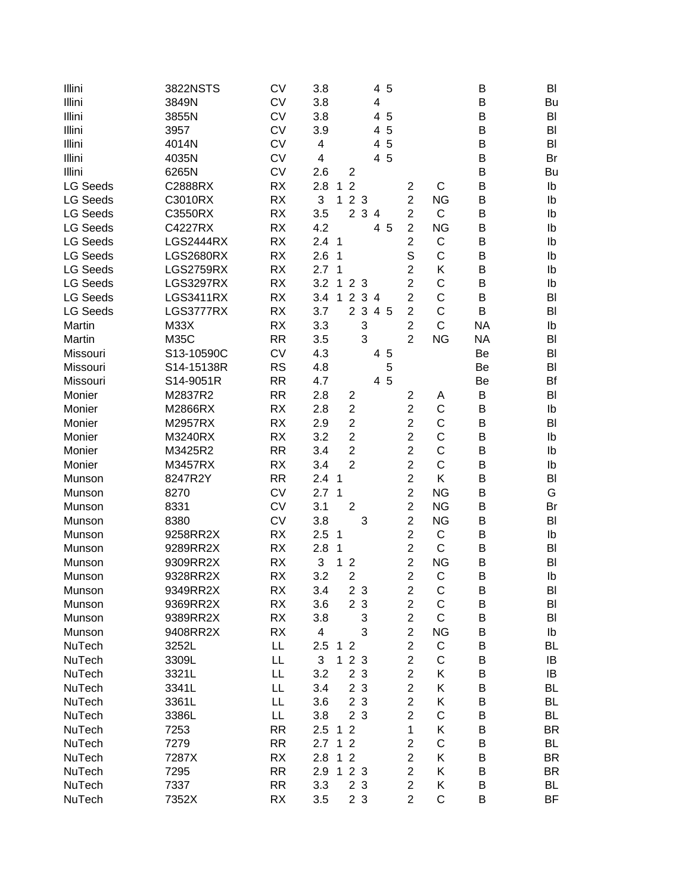| Illini          | 3822NSTS         | <b>CV</b> | 3.8                                         | 4 5            |                         |                | B         | BI        |
|-----------------|------------------|-----------|---------------------------------------------|----------------|-------------------------|----------------|-----------|-----------|
| Illini          | 3849N            | <b>CV</b> | 3.8                                         | $\overline{4}$ |                         |                | B         | Bu        |
| Illini          | 3855N            | <b>CV</b> | 3.8                                         | 4 5            |                         |                | B         | BI        |
| Illini          | 3957             | <b>CV</b> | 3.9                                         | 5<br>4         |                         |                | B         | BI        |
| Illini          | 4014N            | <b>CV</b> | 4                                           | 5<br>4         |                         |                | B         | BI        |
| Illini          | 4035N            | <b>CV</b> | 4                                           | 4 5            |                         |                | B         | Br        |
| Illini          | 6265N            | <b>CV</b> | 2.6<br>2                                    |                |                         |                | B         | Bu        |
| <b>LG Seeds</b> | C2888RX          | <b>RX</b> | $\overline{2}$<br>2.8<br>$\mathbf{1}$       |                | $\overline{2}$          | C              | B         | Ib        |
| <b>LG Seeds</b> | C3010RX          | <b>RX</b> | 3<br>2 3<br>$\mathbf{1}$                    |                | $\overline{2}$          | <b>NG</b>      | B         | Ib        |
| <b>LG Seeds</b> | C3550RX          | <b>RX</b> | 2 3 4<br>3.5                                |                | $\overline{2}$          | $\mathsf{C}$   | B         | Ib        |
| <b>LG Seeds</b> | C4227RX          | <b>RX</b> | 4.2                                         | 4 5            | $\overline{2}$          | <b>NG</b>      | B         | Ib        |
| <b>LG Seeds</b> | <b>LGS2444RX</b> | <b>RX</b> | 2.4 <sub>1</sub>                            |                | $\overline{2}$          | $\mathsf C$    | B         | Ib        |
| <b>LG Seeds</b> | <b>LGS2680RX</b> | <b>RX</b> | 2.6<br>1                                    |                | S                       | C              | B         | Ib        |
| <b>LG Seeds</b> | <b>LGS2759RX</b> | <b>RX</b> | 2.7<br>$\mathbf 1$                          |                | $\overline{2}$          | K              | B         | Ib        |
| <b>LG Seeds</b> | <b>LGS3297RX</b> | <b>RX</b> | 3.2<br>$\mathbf{1}$<br>2 <sub>3</sub>       |                | $\overline{2}$          | C              | B         | Ib        |
| <b>LG Seeds</b> | <b>LGS3411RX</b> | <b>RX</b> | $\mathbf{1}$<br>$\overline{2}$<br>34<br>3.4 |                | $\overline{2}$          | C              | B         | BI        |
| <b>LG Seeds</b> | LGS3777RX        | RX        | 2 3<br>3.7                                  | 4 5            | $\overline{2}$          | C              | B         | BI        |
| Martin          | M33X             | RX        | 3.3<br>3                                    |                | $\overline{2}$          | $\overline{C}$ | <b>NA</b> | Ib        |
| Martin          | <b>M35C</b>      | <b>RR</b> | 3<br>3.5                                    |                | $\overline{2}$          | <b>NG</b>      | <b>NA</b> | BI        |
| Missouri        | S13-10590C       | <b>CV</b> | 4.3                                         | 4 5            |                         |                | Be        | BI        |
| Missouri        | S14-15138R       | <b>RS</b> | 4.8                                         | 5              |                         |                | Be        | BI        |
| Missouri        | S14-9051R        | <b>RR</b> | 4.7                                         | 4 5            |                         |                | Be        | Bf        |
| Monier          | M2837R2          | <b>RR</b> | 2.8<br>$\overline{2}$                       |                | $\overline{2}$          | A              | B         | BI        |
| Monier          | M2866RX          | <b>RX</b> | 2.8<br>$\overline{2}$                       |                | $\overline{2}$          | C              | B         | Ib        |
| Monier          | M2957RX          | <b>RX</b> | $\overline{2}$<br>2.9                       |                | $\overline{2}$          | C              | B         | BI        |
| Monier          | M3240RX          | <b>RX</b> | $\overline{2}$<br>3.2                       |                | $\overline{2}$          | C              | B         | Ib        |
| Monier          | M3425R2          | <b>RR</b> | $\overline{2}$<br>3.4                       |                | $\overline{2}$          | C              | B         | Ib        |
| Monier          | M3457RX          | <b>RX</b> | $\overline{2}$<br>3.4                       |                | $\overline{2}$          | C              | B         | Ib        |
| Munson          | 8247R2Y          | <b>RR</b> | 2.4<br>$\mathbf{1}$                         |                | $\overline{2}$          | K              | B         | BI        |
| Munson          | 8270             | <b>CV</b> | $\mathbf{1}$<br>2.7                         |                | $\overline{2}$          | <b>NG</b>      | B         | G         |
| Munson          | 8331             | <b>CV</b> | $\overline{2}$<br>3.1                       |                | $\overline{2}$          | <b>NG</b>      | В         | Br        |
| Munson          | 8380             | <b>CV</b> | 3<br>3.8                                    |                | $\overline{2}$          | <b>NG</b>      | B         | BI        |
| Munson          | 9258RR2X         | <b>RX</b> | 2.5<br>$\mathbf 1$                          |                | $\overline{2}$          | $\mathsf C$    | B         | Ib        |
| Munson          | 9289RR2X         | <b>RX</b> | 2.8<br>1                                    |                | $\overline{2}$          | $\mathsf C$    | B         | BI        |
| Munson          | 9309RR2X         | <b>RX</b> | 3<br>1<br>$\overline{2}$                    |                | $\overline{2}$          | <b>NG</b>      | B         | BI        |
| Munson          | 9328RR2X         | RX        | $\overline{2}$<br>3.2                       |                | $\overline{2}$          | C              | B         | Ib        |
| Munson          | 9349RR2X         | RX        | 3.4<br>2 3                                  |                | 2                       | С              | B         | BI        |
| Munson          | 9369RR2X         | RX        | 2 3<br>3.6                                  |                | $\overline{\mathbf{c}}$ | $\mathsf C$    | B         | BI        |
| Munson          | 9389RR2X         | RX        | 3.8<br>3                                    |                | $\overline{c}$          | $\mathsf C$    | B         | BI        |
| Munson          | 9408RR2X         | RX        | 3<br>4                                      |                | $\overline{2}$          | <b>NG</b>      | B         | Ib        |
| NuTech          | 3252L            | LL        | 2.5<br>1 <sub>2</sub>                       |                | $\overline{c}$          | $\mathsf C$    | B         | BL        |
| NuTech          | 3309L            | LL        | 3<br>2 3<br>$\mathbf{1}$                    |                | $\overline{2}$          | C              | B         | IB        |
| NuTech          | 3321L            | LL        | 2 <sub>3</sub><br>3.2                       |                | $\overline{2}$          | Κ              | B         | IB        |
| NuTech          | 3341L            | LL        | 2 <sub>3</sub><br>3.4                       |                | $\overline{2}$          | Κ              | B         | BL        |
| NuTech          | 3361L            | LL        | 2 3<br>3.6                                  |                | $\overline{2}$          | Κ              | B         | BL        |
| NuTech          | 3386L            | LL        | 3.8<br>2 <sub>3</sub>                       |                | $\overline{2}$          | C              | B         | BL        |
| NuTech          | 7253             | <b>RR</b> | $\overline{2}$<br>2.5<br>$\mathbf{1}$       |                | 1                       | Κ              | B         | BR        |
| NuTech          | 7279             | <b>RR</b> | $\overline{2}$<br>2.7<br>$\mathbf{1}$       |                | $\overline{2}$          | $\mathsf C$    | B         | <b>BL</b> |
| NuTech          | 7287X            | <b>RX</b> | 1<br>$\overline{2}$<br>2.8                  |                | $\overline{2}$          | Κ              | B         | BR        |
| NuTech          | 7295             | <b>RR</b> | 2 3<br>2.9<br>1                             |                | $\overline{2}$          | Κ              | B         | <b>BR</b> |
| NuTech          | 7337             | <b>RR</b> | 2 3<br>3.3                                  |                | $\overline{c}$          | Κ              | B         | <b>BL</b> |
| NuTech          | 7352X            | RX        | 3.5<br>2 3                                  |                | $\overline{2}$          | $\mathsf C$    | B         | BF        |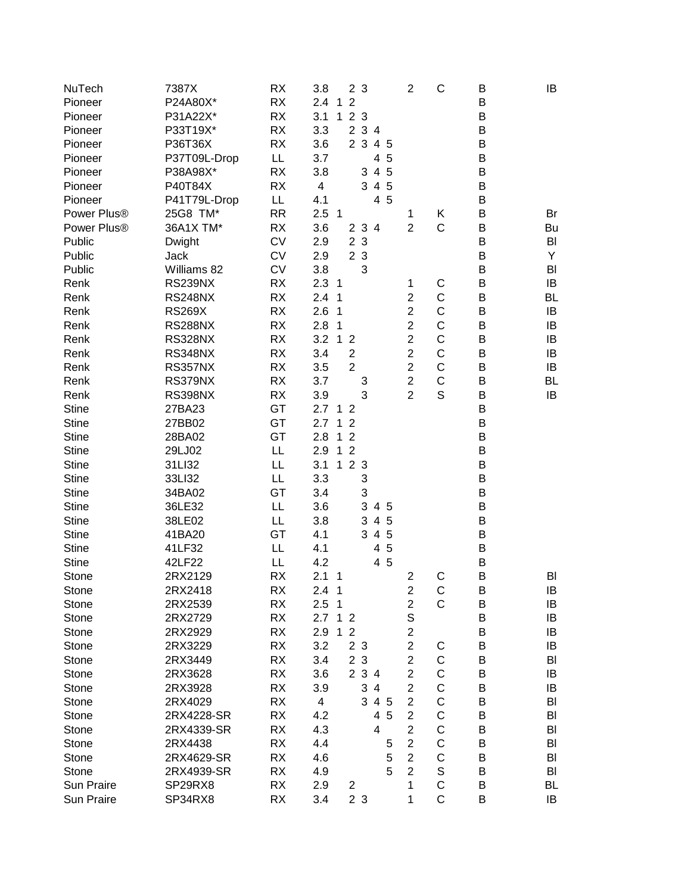| NuTech       | 7387X          | RX        | 3.8                     |                | 2 <sub>3</sub> |       |     | $\overline{c}$          | C           | Β | IB        |
|--------------|----------------|-----------|-------------------------|----------------|----------------|-------|-----|-------------------------|-------------|---|-----------|
| Pioneer      | P24A80X*       | <b>RX</b> | 2.4<br>$\mathbf{1}$     | $\overline{2}$ |                |       |     |                         |             | B |           |
| Pioneer      | P31A22X*       | <b>RX</b> | 3.1<br>$\mathbf{1}$     |                | 2 <sub>3</sub> |       |     |                         |             | B |           |
| Pioneer      | P33T19X*       | <b>RX</b> | 3.3                     |                |                | 2 3 4 |     |                         |             | В |           |
| Pioneer      | P36T36X        | <b>RX</b> | 3.6                     |                | 2 <sub>3</sub> |       | 4 5 |                         |             | B |           |
| Pioneer      | P37T09L-Drop   | LL.       | 3.7                     |                |                |       | 4 5 |                         |             | B |           |
| Pioneer      | P38A98X*       | RX        | 3.8                     |                |                | 3 4 5 |     |                         |             | B |           |
| Pioneer      | P40T84X        | RX        | $\overline{\mathbf{4}}$ |                |                | 3 4 5 |     |                         |             | B |           |
| Pioneer      | P41T79L-Drop   | LL        | 4.1                     |                |                |       | 4 5 |                         |             | B |           |
| Power Plus®  | 25G8 TM*       | RR        | 2.5 <sub>1</sub>        |                |                |       |     | 1                       | Κ           | B | Br        |
| Power Plus®  | 36A1X TM*      | <b>RX</b> | 3.6                     |                |                | 2 3 4 |     | $\overline{2}$          | $\mathsf C$ | B | Bu        |
| Public       | Dwight         | <b>CV</b> | 2.9                     |                | 2 3            |       |     |                         |             | B | BI        |
| Public       | Jack           | <b>CV</b> | 2.9                     |                | 2 3            |       |     |                         |             | B | Υ         |
| Public       | Williams 82    | <b>CV</b> | 3.8                     |                | 3              |       |     |                         |             | B | BI        |
| Renk         | RS239NX        | <b>RX</b> | 2.3<br>$\overline{1}$   |                |                |       |     | 1                       | $\mathsf C$ | B | IB        |
| Renk         | <b>RS248NX</b> | RX        | 2.4<br>1                |                |                |       |     | $\overline{c}$          | $\mathsf C$ | B | <b>BL</b> |
| Renk         | <b>RS269X</b>  | <b>RX</b> | 2.6<br>1                |                |                |       |     | $\overline{2}$          | $\mathsf C$ | B | IB        |
| Renk         | <b>RS288NX</b> | <b>RX</b> | 2.8<br>1                |                |                |       |     | $\overline{c}$          | $\mathsf C$ | B | IB        |
| Renk         | RS328NX        | <b>RX</b> | 3.2<br>$\mathbf{1}$     | $\overline{2}$ |                |       |     | $\overline{2}$          | $\mathsf C$ | В | IB        |
| Renk         | RS348NX        | <b>RX</b> | 3.4                     | $\overline{c}$ |                |       |     | $\overline{2}$          | C           | B | IB        |
| Renk         | RS357NX        | <b>RX</b> | 3.5                     | $\overline{2}$ |                |       |     | $\overline{2}$          | C           | B | IB        |
| Renk         | RS379NX        | <b>RX</b> | 3.7                     |                | 3              |       |     | $\overline{2}$          | $\mathsf C$ | B | <b>BL</b> |
| Renk         | RS398NX        | <b>RX</b> | 3.9                     |                | 3              |       |     | $\overline{2}$          | S           | B | IB        |
| <b>Stine</b> | 27BA23         | GT        | 2.7                     | 1 <sub>2</sub> |                |       |     |                         |             | B |           |
| <b>Stine</b> | 27BB02         | GT        | 2.7<br>$\mathbf 1$      | $\overline{2}$ |                |       |     |                         |             | B |           |
| <b>Stine</b> | 28BA02         | GT        | 2.8<br>$\mathbf{1}$     | $\overline{2}$ |                |       |     |                         |             | B |           |
| <b>Stine</b> | 29LJ02         | LL        | $\mathbf{1}$<br>2.9     | $\overline{2}$ |                |       |     |                         |             | B |           |
| <b>Stine</b> | 31LI32         | LL        | 3.1<br>$\mathbf{1}$     |                | 2 3            |       |     |                         |             | B |           |
| <b>Stine</b> | 33LI32         | LL        | 3.3                     |                | 3              |       |     |                         |             | B |           |
| <b>Stine</b> | 34BA02         | GT        | 3.4                     |                | 3              |       |     |                         |             | B |           |
| <b>Stine</b> | 36LE32         | LL        | 3.6                     |                | 3 <sup>1</sup> |       | 4 5 |                         |             | B |           |
| <b>Stine</b> | 38LE02         | LL        | 3.8                     |                | 3              |       | 4 5 |                         |             | B |           |
| <b>Stine</b> | 41BA20         | GT        | 4.1                     |                |                | 3 4 5 |     |                         |             | B |           |
| <b>Stine</b> | 41LF32         | LL        | 4.1                     |                |                |       | 4 5 |                         |             | B |           |
| <b>Stine</b> | 42LF22         | LL        | 4.2                     |                |                |       | 4 5 |                         |             | B |           |
| Stone        | 2RX2129        | RX        | 2.1<br>1                |                |                |       |     | $\overline{c}$          | C           | B | BI        |
| Stone        | 2RX2418        | RX        | 2.4<br>1                |                |                |       |     | 2                       | C           | B | IB        |
| Stone        | 2RX2539        | RX        | 2.5<br>1                |                |                |       |     | $\overline{\mathbf{c}}$ | C           | Β | IB        |
| Stone        | 2RX2729        | RX        | 2.7<br>$\mathbf 1$      | $\overline{2}$ |                |       |     | S                       |             | B | IB        |
| Stone        | 2RX2929        | RX        | 2.9<br>1                | $\overline{2}$ |                |       |     | $\overline{2}$          |             | B | IB        |
| Stone        | 2RX3229        | RX        | 3.2                     |                | 2 3            |       |     | $\overline{2}$          | C           | B | IB        |
| Stone        | 2RX3449        | RX        | 3.4                     |                | 2 3            |       |     | $\overline{c}$          | $\mathsf C$ | B | BI        |
| Stone        | 2RX3628        | RX        | 3.6                     |                |                | 2 3 4 |     | $\overline{c}$          | $\mathsf C$ | B | IB        |
| Stone        | 2RX3928        | <b>RX</b> | 3.9                     |                | 3              | 4     |     | $\overline{c}$          | $\mathsf C$ | B | IB        |
| Stone        | 2RX4029        | RX        | 4                       |                | 3              |       | 4 5 | $\overline{c}$          | $\mathsf C$ | В | BI        |
| Stone        | 2RX4228-SR     | RX        | 4.2                     |                |                |       | 4 5 | $\overline{2}$          | $\mathsf C$ | B | BI        |
| Stone        | 2RX4339-SR     | RX        | 4.3                     |                |                | 4     |     | $\overline{2}$          | $\mathsf C$ | B | BI        |
| Stone        | 2RX4438        | <b>RX</b> | 4.4                     |                |                |       | 5   | $\overline{2}$          | $\mathsf C$ | B | BI        |
| Stone        | 2RX4629-SR     | <b>RX</b> | 4.6                     |                |                |       | 5   | $\overline{c}$          | $\mathsf C$ | B | BI        |
| Stone        | 2RX4939-SR     | RX        | 4.9                     |                |                |       | 5   | $\overline{c}$          | S           | B | BI        |
| Sun Praire   | SP29RX8        | RX        | 2.9                     | 2              |                |       |     | 1                       | $\mathsf C$ | B | BL        |
| Sun Praire   | SP34RX8        | RX        | 3.4                     |                | 2 3            |       |     | 1                       | $\mathsf C$ | B | IB        |
|              |                |           |                         |                |                |       |     |                         |             |   |           |